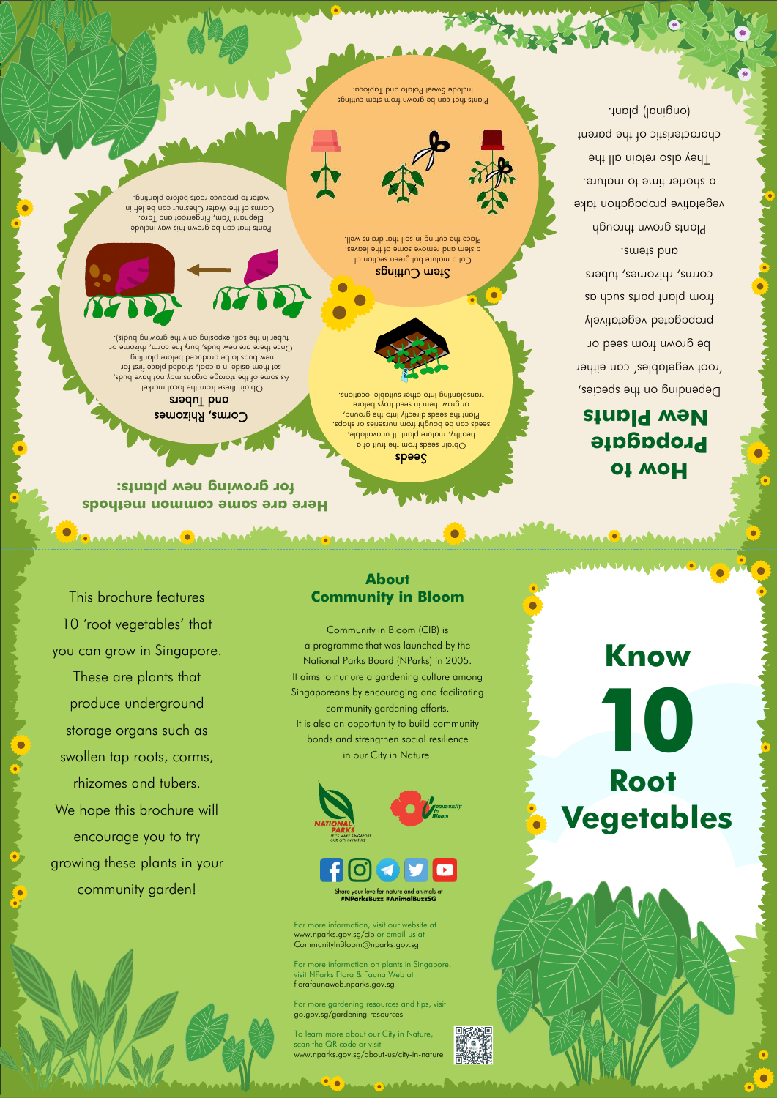**Here are some common methods for growing new plants:**

**ANAAAAA DEAAAAAAA** 

#### Corms, Rhizomes and Iubers

#### **How to Propagate New Plants**

Debeuqiud ou the species, 'root vegetables' can either be grown from seed or propagated vegetatively trow blays should we corms, rhizomes, tubers and stems. **Plants grown through** 

Cut a mature but green section of a stem and remove some of the leaves. Place the cutting in soil that drains well.



Plants that can be grown from stem cuttings include Sweet Potato and Tapioca.

Obtain these from the local market. As some of the storage organs may not have buds, set them aside in a cool, shaded place first for new pnq bo buds to appropriate between Once there are new buds, bury the corm, rhizome or tuber in the soil, exposing only the growing bud(s).

Pants that can be grown this way include Elephant Yam, Fingerroot and Taro. Corms of the Water Chestnut can be left in water to produce roots before planting.

#### speed

vegetative propagation take a shorter fime to mature. They also retain all the characteristic of the parent (original) plant.

. seeds can be bought from nurseries or shops. Obtain seeds from the fruit of a healthy, mature plant. If unavailable, Plant the seeds directly into the ground, or grow them in seed trays before transplanting into other suitable locations.

## $\epsilon$ spniitu $\cup$  mət $\epsilon$

This brochure features

10 'root vegetables' that



you can grow in Singapore. These are plants that produce underground storage organs such as swollen tap roots, corms, rhizomes and tubers.

We hope this brochure will

encourage you to try

growing these plants in your

community garden!



your love for nature and animals at #NParksBuzz #AnimalBuzzSG

## **Know Root Vegetables 10**

#### **About Community in Bloom**

**Adam Anno Andrew** 

Community in Bloom (CIB) is a programme that was launched by the National Parks Board (NParks) in 2005. It aims to nurture a gardening culture among Singaporeans by encouraging and facilitating community gardening efforts. It is also an opportunity to build community bonds and strengthen social resilience in our City in Nature.

For more information, visit our website at www.nparks.gov.sg/cib or email us at CommunityInBloom@nparks.gov.sg

For more information on plants in Singapore, visit NParks Flora & Fauna Web at florafaunaweb.nparks.gov.sg

For more gardening resources and tips, visit go.gov.sg/gardening-resources

To learn more about our City in Nature, scan the QR code or visit www.nparks.gov.sg/about-us/city-in-nature

**MOMALIAN**